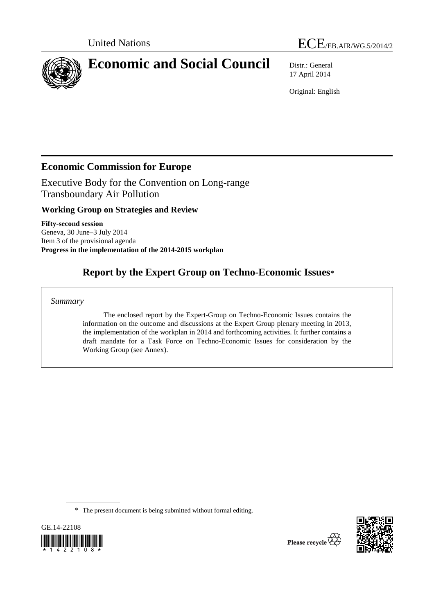



17 April 2014

Original: English

# **Economic Commission for Europe**

Executive Body for the Convention on Long-range Transboundary Air Pollution

# **Working Group on Strategies and Review**

**Fifty-second session**  Geneva, 30 June–3 July 2014 Item 3 of the provisional agenda **Progress in the implementation of the 2014-2015 workplan** 

# **Report by the Expert Group on Techno-Economic Issues\***

### *Summary*

 The enclosed report by the Expert-Group on Techno-Economic Issues contains the information on the outcome and discussions at the Expert Group plenary meeting in 2013, the implementation of the workplan in 2014 and forthcoming activities. It further contains a draft mandate for a Task Force on Techno-Economic Issues for consideration by the Working Group (see Annex).

\* The present document is being submitted without formal editing.



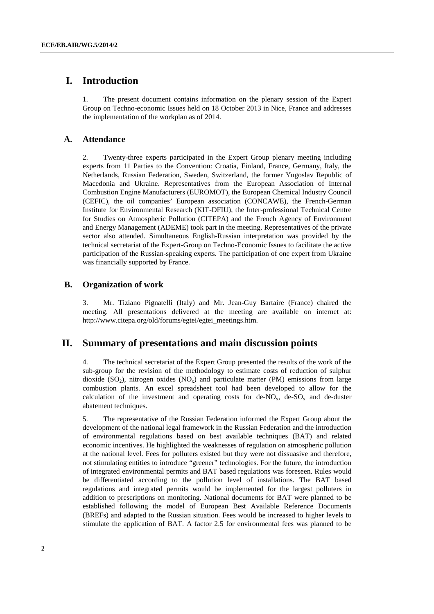# **I. Introduction**

1. The present document contains information on the plenary session of the Expert Group on Techno-economic Issues held on 18 October 2013 in Nice, France and addresses the implementation of the workplan as of 2014.

#### **A. Attendance**

2. Twenty-three experts participated in the Expert Group plenary meeting including experts from 11 Parties to the Convention: Croatia, Finland, France, Germany, Italy, the Netherlands, Russian Federation, Sweden, Switzerland, the former Yugoslav Republic of Macedonia and Ukraine. Representatives from the European Association of Internal Combustion Engine Manufacturers (EUROMOT), the European Chemical Industry Council (CEFIC), the oil companies' European association (CONCAWE), the French-German Institute for Environmental Research (KIT-DFIU), the Inter-professional Technical Centre for Studies on Atmospheric Pollution (CITEPA) and the French Agency of Environment and Energy Management (ADEME) took part in the meeting. Representatives of the private sector also attended. Simultaneous English-Russian interpretation was provided by the technical secretariat of the Expert-Group on Techno-Economic Issues to facilitate the active participation of the Russian-speaking experts. The participation of one expert from Ukraine was financially supported by France.

#### **B. Organization of work**

3. Mr. Tiziano Pignatelli (Italy) and Mr. Jean-Guy Bartaire (France) chaired the meeting. All presentations delivered at the meeting are available on internet at: http://www.citepa.org/old/forums/egtei/egtei\_meetings.htm.

# **II. Summary of presentations and main discussion points**

4. The technical secretariat of the Expert Group presented the results of the work of the sub-group for the revision of the methodology to estimate costs of reduction of sulphur dioxide (SO<sub>2</sub>), nitrogen oxides (NO<sub>x</sub>) and particulate matter (PM) emissions from large combustion plants. An excel spreadsheet tool had been developed to allow for the calculation of the investment and operating costs for  $de-NO_x$ ,  $de-SO_x$  and  $de-duster$ abatement techniques.

5. The representative of the Russian Federation informed the Expert Group about the development of the national legal framework in the Russian Federation and the introduction of environmental regulations based on best available techniques (BAT) and related economic incentives. He highlighted the weaknesses of regulation on atmospheric pollution at the national level. Fees for polluters existed but they were not dissuasive and therefore, not stimulating entities to introduce "greener" technologies. For the future, the introduction of integrated environmental permits and BAT based regulations was foreseen. Rules would be differentiated according to the pollution level of installations. The BAT based regulations and integrated permits would be implemented for the largest polluters in addition to prescriptions on monitoring. National documents for BAT were planned to be established following the model of European Best Available Reference Documents (BREFs) and adapted to the Russian situation. Fees would be increased to higher levels to stimulate the application of BAT. A factor 2.5 for environmental fees was planned to be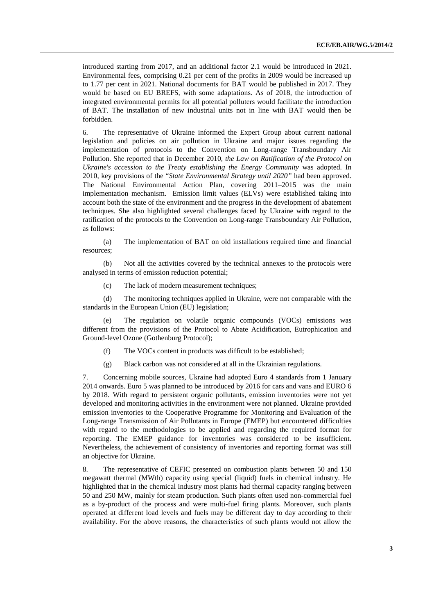introduced starting from 2017, and an additional factor 2.1 would be introduced in 2021. Environmental fees, comprising 0.21 per cent of the profits in 2009 would be increased up to 1.77 per cent in 2021. National documents for BAT would be published in 2017. They would be based on EU BREFS, with some adaptations. As of 2018, the introduction of integrated environmental permits for all potential polluters would facilitate the introduction of BAT. The installation of new industrial units not in line with BAT would then be forbidden.

6. The representative of Ukraine informed the Expert Group about current national legislation and policies on air pollution in Ukraine and major issues regarding the implementation of protocols to the Convention on Long-range Transboundary Air Pollution. She reported that in December 2010, *the Law on Ratification of the Protocol on Ukraine's accession to the Treaty establishing the Energy Community* was adopted. In 2010, key provisions of the "*State Environmental Strategy until 2020"* had been approved. The National Environmental Action Plan, covering 2011–2015 was the main implementation mechanism. Emission limit values (ELVs) were established taking into account both the state of the environment and the progress in the development of abatement techniques. She also highlighted several challenges faced by Ukraine with regard to the ratification of the protocols to the Convention on Long-range Transboundary Air Pollution, as follows:

 (a) The implementation of BAT on old installations required time and financial resources;

 (b) Not all the activities covered by the technical annexes to the protocols were analysed in terms of emission reduction potential;

(c) The lack of modern measurement techniques;

 (d) The monitoring techniques applied in Ukraine, were not comparable with the standards in the European Union (EU) legislation;

 (e) The regulation on volatile organic compounds (VOCs) emissions was different from the provisions of the Protocol to Abate Acidification, Eutrophication and Ground-level Ozone (Gothenburg Protocol);

- (f) The VOCs content in products was difficult to be established;
- (g) Black carbon was not considered at all in the Ukrainian regulations.

7. Concerning mobile sources, Ukraine had adopted Euro 4 standards from 1 January 2014 onwards. Euro 5 was planned to be introduced by 2016 for cars and vans and EURO 6 by 2018. With regard to persistent organic pollutants, emission inventories were not yet developed and monitoring activities in the environment were not planned. Ukraine provided emission inventories to the Cooperative Programme for Monitoring and Evaluation of the Long-range Transmission of Air Pollutants in Europe (EMEP) but encountered difficulties with regard to the methodologies to be applied and regarding the required format for reporting. The EMEP guidance for inventories was considered to be insufficient. Nevertheless, the achievement of consistency of inventories and reporting format was still an objective for Ukraine.

8. The representative of CEFIC presented on combustion plants between 50 and 150 megawatt thermal (MWth) capacity using special (liquid) fuels in chemical industry. He highlighted that in the chemical industry most plants had thermal capacity ranging between 50 and 250 MW, mainly for steam production. Such plants often used non-commercial fuel as a by-product of the process and were multi-fuel firing plants. Moreover, such plants operated at different load levels and fuels may be different day to day according to their availability. For the above reasons, the characteristics of such plants would not allow the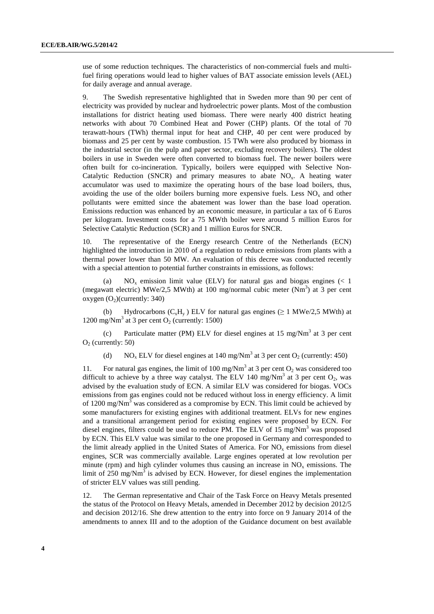use of some reduction techniques. The characteristics of non-commercial fuels and multifuel firing operations would lead to higher values of BAT associate emission levels (AEL) for daily average and annual average.

9. The Swedish representative highlighted that in Sweden more than 90 per cent of electricity was provided by nuclear and hydroelectric power plants. Most of the combustion installations for district heating used biomass. There were nearly 400 district heating networks with about 70 Combined Heat and Power (CHP) plants. Of the total of 70 terawatt-hours (TWh) thermal input for heat and CHP, 40 per cent were produced by biomass and 25 per cent by waste combustion. 15 TWh were also produced by biomass in the industrial sector (in the pulp and paper sector, excluding recovery boilers). The oldest boilers in use in Sweden were often converted to biomass fuel. The newer boilers were often built for co-incineration. Typically, boilers were equipped with Selective Non-Catalytic Reduction (SNCR) and primary measures to abate  $NO<sub>x</sub>$ . A heating water accumulator was used to maximize the operating hours of the base load boilers, thus, avoiding the use of the older boilers burning more expensive fuels. Less  $NO<sub>x</sub>$  and other pollutants were emitted since the abatement was lower than the base load operation. Emissions reduction was enhanced by an economic measure, in particular a tax of 6 Euros per kilogram. Investment costs for a 75 MWth boiler were around 5 million Euros for Selective Catalytic Reduction (SCR) and 1 million Euros for SNCR.

10. The representative of the Energy research Centre of the Netherlands (ECN) highlighted the introduction in 2010 of a regulation to reduce emissions from plants with a thermal power lower than 50 MW. An evaluation of this decree was conducted recently with a special attention to potential further constraints in emissions, as follows:

(a)  $NO<sub>x</sub>$  emission limit value (ELV) for natural gas and biogas engines (< 1) (megawatt electric) MWe/2,5 MWth) at 100 mg/normal cubic meter  $(Nm<sup>3</sup>)$  at 3 per cent oxygen  $(O<sub>2</sub>)(\text{currently: } 340)$ 

(b) Hydrocarbons ( $C_xH_y$ ) ELV for natural gas engines ( $\geq 1$  MWe/2,5 MWth) at 1200 mg/Nm<sup>3</sup> at 3 per cent  $O_2$  (currently: 1500)

(c) Particulate matter (PM) ELV for diesel engines at 15 mg/Nm<sup>3</sup> at 3 per cent  $O<sub>2</sub>$  (currently: 50)

(d) NO<sub>x</sub> ELV for diesel engines at 140 mg/Nm<sup>3</sup> at 3 per cent O<sub>2</sub> (currently: 450)

11. For natural gas engines, the limit of 100 mg/Nm<sup>3</sup> at 3 per cent  $O_2$  was considered too difficult to achieve by a three way catalyst. The ELV 140 mg/Nm<sup>3</sup> at 3 per cent  $O_2$ , was advised by the evaluation study of ECN. A similar ELV was considered for biogas. VOCs emissions from gas engines could not be reduced without loss in energy efficiency. A limit of 1200 mg/Nm<sup>3</sup> was considered as a compromise by ECN. This limit could be achieved by some manufacturers for existing engines with additional treatment. ELVs for new engines and a transitional arrangement period for existing engines were proposed by ECN. For diesel engines, filters could be used to reduce PM. The ELV of 15 mg/Nm<sup>3</sup> was proposed by ECN. This ELV value was similar to the one proposed in Germany and corresponded to the limit already applied in the United States of America. For  $NO<sub>x</sub>$  emissions from diesel engines, SCR was commercially available. Large engines operated at low revolution per minute (rpm) and high cylinder volumes thus causing an increase in  $NO<sub>x</sub>$  emissions. The limit of  $250 \text{ mg/Nm}^3$  is advised by ECN. However, for diesel engines the implementation of stricter ELV values was still pending.

12. The German representative and Chair of the Task Force on Heavy Metals presented the status of the Protocol on Heavy Metals, amended in December 2012 by decision 2012/5 and decision 2012/16. She drew attention to the entry into force on 9 January 2014 of the amendments to annex III and to the adoption of the Guidance document on best available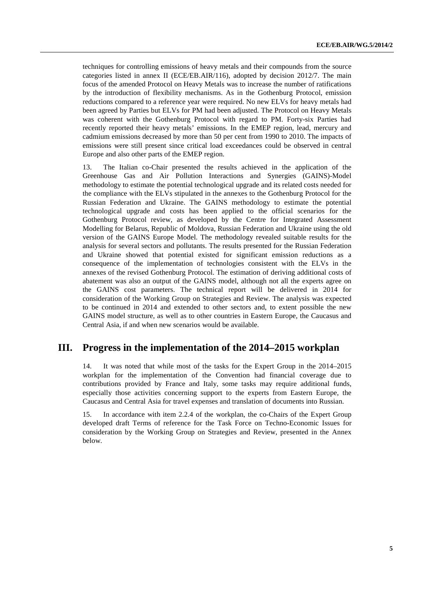techniques for controlling emissions of heavy metals and their compounds from the source categories listed in annex II (ECE/EB.AIR/116), adopted by decision 2012/7. The main focus of the amended Protocol on Heavy Metals was to increase the number of ratifications by the introduction of flexibility mechanisms. As in the Gothenburg Protocol, emission reductions compared to a reference year were required. No new ELVs for heavy metals had been agreed by Parties but ELVs for PM had been adjusted. The Protocol on Heavy Metals was coherent with the Gothenburg Protocol with regard to PM. Forty-six Parties had recently reported their heavy metals' emissions. In the EMEP region, lead, mercury and cadmium emissions decreased by more than 50 per cent from 1990 to 2010. The impacts of emissions were still present since critical load exceedances could be observed in central Europe and also other parts of the EMEP region.

13. The Italian co-Chair presented the results achieved in the application of the Greenhouse Gas and Air Pollution Interactions and Synergies (GAINS)-Model methodology to estimate the potential technological upgrade and its related costs needed for the compliance with the ELVs stipulated in the annexes to the Gothenburg Protocol for the Russian Federation and Ukraine. The GAINS methodology to estimate the potential technological upgrade and costs has been applied to the official scenarios for the Gothenburg Protocol review, as developed by the Centre for Integrated Assessment Modelling for Belarus, Republic of Moldova, Russian Federation and Ukraine using the old version of the GAINS Europe Model. The methodology revealed suitable results for the analysis for several sectors and pollutants. The results presented for the Russian Federation and Ukraine showed that potential existed for significant emission reductions as a consequence of the implementation of technologies consistent with the ELVs in the annexes of the revised Gothenburg Protocol. The estimation of deriving additional costs of abatement was also an output of the GAINS model, although not all the experts agree on the GAINS cost parameters. The technical report will be delivered in 2014 for consideration of the Working Group on Strategies and Review. The analysis was expected to be continued in 2014 and extended to other sectors and, to extent possible the new GAINS model structure, as well as to other countries in Eastern Europe, the Caucasus and Central Asia, if and when new scenarios would be available.

## **III. Progress in the implementation of the 2014–2015 workplan**

14. It was noted that while most of the tasks for the Expert Group in the 2014–2015 workplan for the implementation of the Convention had financial coverage due to contributions provided by France and Italy, some tasks may require additional funds, especially those activities concerning support to the experts from Eastern Europe, the Caucasus and Central Asia for travel expenses and translation of documents into Russian.

15. In accordance with item 2.2.4 of the workplan, the co-Chairs of the Expert Group developed draft Terms of reference for the Task Force on Techno-Economic Issues for consideration by the Working Group on Strategies and Review, presented in the Annex below.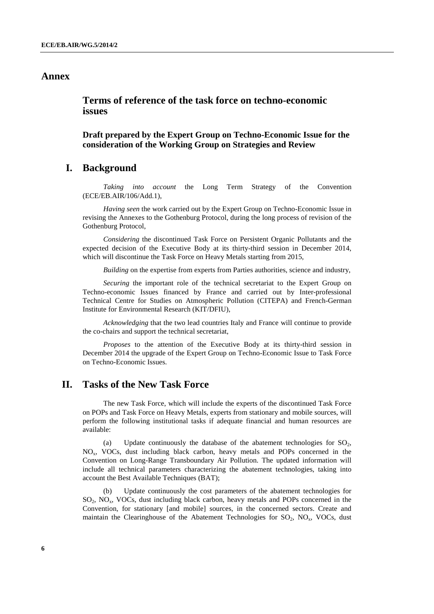## **Annex**

 **Terms of reference of the task force on techno-economic issues** 

 **Draft prepared by the Expert Group on Techno-Economic Issue for the consideration of the Working Group on Strategies and Review**

### **I. Background**

 *Taking into account* the Long Term Strategy of the Convention (ECE/EB.AIR/106/Add.1),

 *Having seen* the work carried out by the Expert Group on Techno-Economic Issue in revising the Annexes to the Gothenburg Protocol, during the long process of revision of the Gothenburg Protocol,

 *Considering* the discontinued Task Force on Persistent Organic Pollutants and the expected decision of the Executive Body at its thirty-third session in December 2014, which will discontinue the Task Force on Heavy Metals starting from 2015,

 *Building* on the expertise from experts from Parties authorities, science and industry,

 *Securing* the important role of the technical secretariat to the Expert Group on Techno-economic Issues financed by France and carried out by Inter-professional Technical Centre for Studies on Atmospheric Pollution (CITEPA) and French-German Institute for Environmental Research (KIT/DFIU),

 *Acknowledging* that the two lead countries Italy and France will continue to provide the co-chairs and support the technical secretariat,

*Proposes* to the attention of the Executive Body at its thirty-third session in December 2014 the upgrade of the Expert Group on Techno-Economic Issue to Task Force on Techno-Economic Issues.

## **II. Tasks of the New Task Force**

 The new Task Force, which will include the experts of the discontinued Task Force on POPs and Task Force on Heavy Metals, experts from stationary and mobile sources, will perform the following institutional tasks if adequate financial and human resources are available:

(a) Update continuously the database of the abatement technologies for  $SO<sub>2</sub>$ , NOx, VOCs, dust including black carbon, heavy metals and POPs concerned in the Convention on Long-Range Transboundary Air Pollution. The updated information will include all technical parameters characterizing the abatement technologies, taking into account the Best Available Techniques (BAT);

 (b) Update continuously the cost parameters of the abatement technologies for SO2, NOx, VOCs, dust including black carbon, heavy metals and POPs concerned in the Convention, for stationary [and mobile] sources, in the concerned sectors. Create and maintain the Clearinghouse of the Abatement Technologies for  $SO_2$ ,  $NO_x$ , VOCs, dust